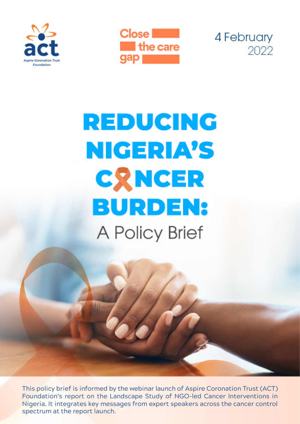





# **REDUCING NIGERIA'S CRNCER BURDEN:** A Policy Brief

This policy brief is informed by the webinar launch of Aspire Coronation Trust (ACT) Foundation's report on the Landscape Study of NGO-led Cancer Interventions in Nigeria. It integrates key messages from expert speakers across the cancer control spectrum at the report launch.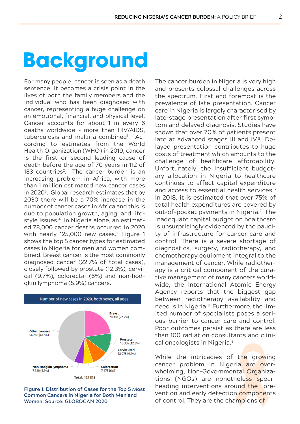## **Background**

For many people, cancer is seen as a death sentence. It becomes a crisis point in the lives of both the family members and the individual who has been diagnosed with cancer, representing a huge challenge on an emotional, financial, and physical level. Cancer accounts for about 1 in every 6 deaths worldwide – more than HIV/AIDS, tuberculosis and malaria combined1 . According to estimates from the World Health Organization (WHO) in 2019, cancer is the first or second leading cause of death before the age of 70 years in 112 of 183 countries<sup>2</sup>. The cancer burden is an increasing problem in Africa, with more than 1 million estimated new cancer cases in 20203. Global research estimates that by 2030 there will be a 70% increase in the number of cancer cases in Africa and this is due to population growth, aging, and lifestyle issues.<sup>4</sup> In Nigeria alone, an estimated 78,000 cancer deaths occurred in 2020 with nearly 125,000 new cases.<sup>3</sup> Figure 1 shows the top 5 cancer types for estimated cases in Nigeria for men and women combined. Breast cancer is the most commonly diagnosed cancer (22.7% of total cases), closely followed by prostate (12.3%), cervical (9.7%), colorectal (6%) and non-hodgkin lymphoma (5.9%) cancers.





The cancer burden in Nigeria is very high and presents colossal challenges across the spectrum. First and foremost is the prevalence of late presentation. Cancer care in Nigeria is largely characterised by late-stage presentation after first symptom and delayed diagnosis. Studies have shown that over 70% of patients present late at advanced stages III and IV.<sup>5</sup> Delayed presentation contributes to huge costs of treatment which amounts to the challenge of healthcare affordability. Unfortunately, the insufficient budgetary allocation in Nigeria to healthcare continues to affect capital expenditure and access to essential health services.<sup>6</sup> In 2018, it is estimated that over 75% of total health expenditures are covered by out-of-pocket payments in Nigeria.7 The inadequate capital budget on healthcare is unsurprisingly evidenced by the paucity of infrastructure for cancer care and control. There is a severe shortage of diagnostics, surgery, radiotherapy, and chemotherapy equipment integral to the management of cancer. While radiotherapy is a critical component of the curative management of many cancers worldwide, the International Atomic Energy Agency reports that the biggest gap between radiotherapy availability and need is in Nigeria.<sup>8</sup> Furthermore, the limited number of specialists poses a serious barrier to cancer care and control. Poor outcomes persist as there are less than 100 radiation consultants and clinical oncologists in Nigeria.9

While the intricacies of the growing cancer problem in Nigeria are overwhelming, Non-Governmental Organizations (NGOs) are nonetheless spearheading interventions around the prevention and early detection components of control. They are the champions of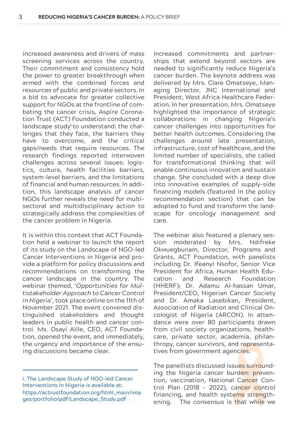increased awareness and drivers of mass screening services across the country. Their commitment and consistency hold the power to greater breakthrough when armed with the combined forces and resources of public and private sectors. In a bid to advocate for greater collective support for NGOs at the frontline of combating the cancer crisis, Aspire Coronation Trust (ACT) Foundation conducted a landscape study**<sup>i</sup>** to understand: the challenges that they face, the barriers they have to overcome, and the critical gaps/needs that require resources. The research findings reported interwoven challenges across several issues: logistics, culture, health facilities barriers, system-level barriers, and the limitations of financial and human resources. In addition, this landscape analysis of cancer NGOs further reveals the need for multisectoral and multidisciplinary action to strategically address the complexities of the cancer problem in Nigeria.

It is within this context that ACT Foundation held a webinar to launch the report of its study on the Landscape of NGO-led Cancer Interventions in Nigeria and provide a platform for policy discussions and recommendations on transforming the cancer landscape in the country. The webinar themed, *'Opportunities for Multistakeholder Approach to Cancer Control in Nigeria'*, took place online on the 11th of November 2021. The event convened distinguished stakeholders and thought leaders in public health and cancer control. Ms. Osayi Alile, CEO, ACT Foundation, opened the event, and immediately, the urgency and importance of the ensuing discussions became clear.

Increased commitments and partnerships that extend beyond sectors are needed to significantly reduce Nigeria's cancer burden. The keynote address was delivered by Mrs. Clare Omatseye, Managing Director, JNC International and President, West Africa Healthcare Federation. In her presentation, Mrs. Omatseye highlighted the importance of strategic collaborations in changing Nigeria's cancer challenges into opportunities for better health outcomes. Considering the challenges around late presentation, infrastructure, cost of healthcare, and the limited number of specialists, she called for transformational thinking that will enable continuous innovation and sustain change. She concluded with a deep dive into innovative examples of supply-side financing models (featured in the policy recommendation section) that can be adopted to fund and transform the landscape for oncology management and care.

The webinar also featured a plenary session moderated by Mrs. Ndifreke Okwuegbunam, Director, Programs and Grants, ACT Foundation, with panelists including Dr. Ifeanyi Nsofor, Senior Vice President for Africa, Human Health Education and Research Foundation (HHERF); Dr. Adamu Al-hassan Umar, President/CEO, Nigerian Cancer Society and Dr. Amaka Lasebikan, President, Association of Radiation and Clinical Oncologist of Nigeria (ARCON). In attendance were over 80 participants drawn from civil society organizations, healthcare, private sector, academia, philanthropy, cancer survivors, and representatives from government agencies.

The panellists discussed issues surrounding the Nigeria cancer burden: prevention, vaccination, National Cancer Control Plan (2018 - 2022), cancer control financing, and health systems strengthening. The consensus is that while we

i. The Landscape Study of NGO-led Cancer Interventions in Nigeria is available at: [https://actrustfoundation.org/html\\_main/ima](https://actrustfoundation.org/html_main/images/portfolio/pdf/Landscape_Study.pdf) ges/portfolio/pdf/Landscape\_Study.pdf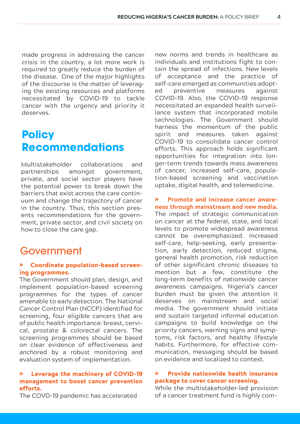made progress in addressing the cancer crisis in the country, a lot more work is required to greatly reduce the burden of the disease. One of the major highlights of the discourse is the matter of leveraging the existing resources and platforms necessitated by COVID-19 to tackle cancer with the urgency and priority it deserves.

## **Policy Recommendations**

Multistakeholder collaborations and partnerships amongst government, private, and social sector players have the potential power to break down the barriers that exist across the care continuum and change the trajectory of cancer in the country. Thus, this section presents recommendations for the government, private sector, and civil society on how to close the care gap.

### Government

#### � Coordinate population-based screening programmes.

The Government should plan, design, and implement population-based screening programmes for the types of cancer amenable to early detection. The National Cancer Control Plan (NCCP) identified for screening, four eligible cancers that are of public health importance: breast, cervical, prostate & colorectal cancers. The screening programmes should be based on clear evidence of effectiveness and anchored by a robust monitoring and evaluation system of implementation.

#### � Leverage the machinery of COVID-19 management to boost cancer prevention efforts.

The COVD-19 pandemic has accelerated

new norms and trends in healthcare as individuals and institutions fight to contain the spread of infections. New levels of acceptance and the practice of self-care emerged as communities adopted preventive measures against COVID-19. Also, the COVID-19 response necessitated an expanded health surveillance system that incorporated mobile technologies. The Government should harness the momentum of the public spirit and measures taken against COVID-19 to consolidate cancer control efforts. This approach holds significant opportunities for integration into longer-term trends towards mass awareness of cancer, increased self-care, population-based screening and vaccination uptake, digital health, and telemedicine.

#### � **Promote and increase cancer awareness through mainstream and new media.**

The impact of strategic communication on cancer at the federal, state, and local levels to promote widespread awareness cannot be overemphasized. Increased self-care, help-seeking, early presentation, early detection, reduced stigma, general health promotion, risk reduction of other significant chronic diseases to mention but a few, constitute the long-term benefits of nationwide cancer awareness campaigns. Nigeria's cancer burden must be given the attention it deserves on mainstream and social media. The government should initiate and sustain targeted informal education campaigns to build knowledge on the priority cancers, warning signs and symptoms, risk factors, and healthy lifestyle habits. Furthermore, for effective communication, messaging should be based on evidence and localized to context.

#### Provide nationwide health insurance package to cover cancer screening.

While the multistakeholder-led provision of a cancer treatment fund is highly com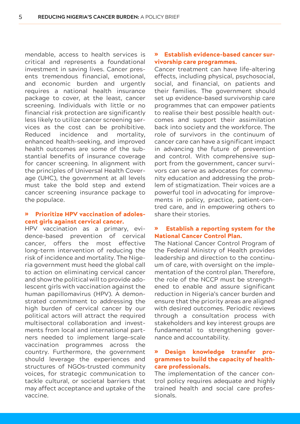mendable, access to health services is critical and represents a foundational investment in saving lives. Cancer presents tremendous financial, emotional, and economic burden and urgently requires a national health insurance package to cover, at the least, cancer screening. Individuals with little or no financial risk protection are significantly less likely to utilize cancer screening services as the cost can be prohibitive. Reduced incidence and mortality, enhanced health-seeking, and improved health outcomes are some of the substantial benefits of insurance coverage for cancer screening. In alignment with the principles of Universal Health Coverage (UHC), the government at all levels must take the bold step and extend cancer screening insurance package to the populace.

#### **Prioritize HPV vaccination of adoles**cent girls against cervical cancer.

HPV vaccination as a primary, evidence-based prevention of cervical cancer, offers the most effective long-term intervention of reducing the risk of incidence and mortality. The Nigeria government must heed the global call to action on eliminating cervical cancer and show the political will to provide adolescent girls with vaccination against the human papillomavirus (HPV). A demonstrated commitment to addressing the high burden of cervical cancer by our political actors will attract the required multisectoral collaboration and investments from local and international partners needed to implement large-scale vaccination programmes across the country. Furthermore, the government should leverage the experiences and structures of NGOs–trusted community voices, for strategic communication to tackle cultural, or societal barriers that may affect acceptance and uptake of the vaccine.

#### � Establish evidence-based cancer survivorship care programmes.

Cancer treatment can have life-altering effects, including physical, psychosocial, social, and financial, on patients and their families. The government should set up evidence-based survivorship care programmes that can empower patients to realise their best possible health outcomes and support their assimilation back into society and the workforce. The role of survivors in the continuum of cancer care can have a significant impact in advancing the future of prevention and control. With comprehensive support from the government, cancer survivors can serve as advocates for community education and addressing the problem of stigmatization. Their voices are a powerful tool in advocating for improvements in policy, practice, patient-centred care, and in empowering others to share their stories.

#### � Establish a reporting system for the National Cancer Control Plan.

The National Cancer Control Program of the Federal Ministry of Health provides leadership and direction to the continuum of care, with oversight on the implementation of the control plan. Therefore, the role of the NCCP must be strengthened to enable and assure significant reduction in Nigeria's cancer burden and ensure that the priority areas are aligned with desired outcomes. Periodic reviews through a consultation process with stakeholders and key interest groups are fundamental to strengthening governance and accountability.

#### � Design knowledge transfer programmes to build the capacity of healthcare professionals.

The implementation of the cancer control policy requires adequate and highly trained health and social care professionals.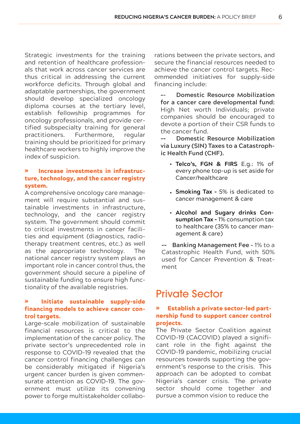Strategic investments for the training and retention of healthcare professionals that work across cancer services are thus critical in addressing the current workforce deficits. Through global and adaptable partnerships, the government should develop specialized oncology diploma courses at the tertiary level, establish fellowship programmes for oncology professionals, and provide certified subspecialty training for general practitioners. Furthermore, regular training should be prioritized for primary healthcare workers to highly improve the index of suspicion.

#### � Increase investments in infrastructure, technology, and the cancer registry system.

A comprehensive oncology care management will require substantial and sustainable investments in infrastructure, technology, and the cancer registry system. The government should commit to critical investments in cancer facilities and equipment (diagnostics, radiotherapy treatment centres, etc.) as well as the appropriate technology. The national cancer registry system plays an important role in cancer control thus, the government should secure a pipeline of sustainable funding to ensure high functionality of the available registries.

#### � Initiate sustainable supply-side financing models to achieve cancer control targets.

Large-scale mobilization of sustainable financial resources is critical to the implementation of the cancer policy. The private sector's unprecedented role in response to COVID-19 revealed that the cancer control financing challenges can be considerably mitigated if Nigeria's urgent cancer burden is given commensurate attention as COVID-19. The government must utilize its convening power to forge multistakeholder collaborations between the private sectors, and secure the financial resources needed to achieve the cancer control targets. Recommended initiatives for supply-side financing include:

**- Domestic Resource Mobilization for a cancer care developmental fund:** High Net worth Individuals; private companies should be encouraged to devote a portion of their CSR funds to the cancer fund.

- **Domestic Resource Mobilization via Luxury (SIN) Taxes to a Catastrophic Health Fund (CHF).**

- **Telco's, FGN & FIRS** E.g.: 1% of every phone top-up is set aside for Cancer/healthcare
- **Smoking Tax** 5% is dedicated to cancer management & care
- **Alcohol and Sugary drinks Consumption Tax -** 1% consumption tax to healthcare (35% to cancer management & care)

- **Banking Management Fee -** 1% to a Catastrophic Health Fund, with 50% used for Cancer Prevention & Treatment

## Private Sector

#### � Establish a private sector-led partnership fund to support cancer control projects.

The Private Sector Coalition against COVID-19 (CACOVID) played a significant role in the fight against the COVID-19 pandemic, mobilizing crucial resources towards supporting the government's response to the crisis. This approach can be adopted to combat Nigeria's cancer crisis. The private sector should come together and pursue a common vision to reduce the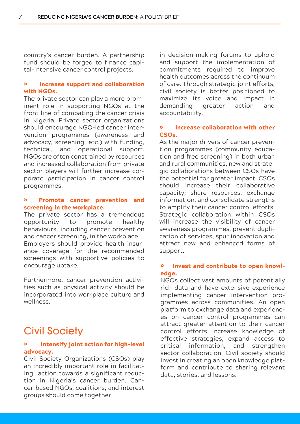country's cancer burden. A partnership fund should be forged to finance capital-intensive cancer control projects.

#### � Increase support and collaboration with NGOs.

The private sector can play a more prominent role in supporting NGOs at the front line of combating the cancer crisis in Nigeria. Private sector organizations should encourage NGO-led cancer intervention programmes (awareness and advocacy, screening, etc.) with funding, technical, and operational support. NGOs are often constrained by resources and increased collaboration from private sector players will further increase corporate participation in cancer control programmes.

#### � Promote cancer prevention and screening in the workplace.

The private sector has a tremendous opportunity to promote healthy behaviours, including cancer prevention and cancer screening, in the workplace. Employers should provide health insurance coverage for the recommended screenings with supportive policies to encourage uptake.

Furthermore, cancer prevention activities such as physical activity should be incorporated into workplace culture and wellness.

## Civil Society

#### � Intensify joint action for high-level advocacy.

Civil Society Organizations (CSOs) play an incredibly important role in facilitating action towards a significant reduction in Nigeria's cancer burden. Cancer-based NGOs, coalitions, and interest groups should come together

in decision-making forums to uphold and support the implementation of commitments required to improve health outcomes across the continuum of care. Through strategic joint efforts, civil society is better positioned to maximize its voice and impact in demanding greater action and accountability.

#### � Increase collaboration with other CSOs.

As the major drivers of cancer prevention programmes (community education and free screening) in both urban and rural communities, new and strategic collaborations between CSOs have the potential for greater impact. CSOs should increase their collaborative capacity; share resources, exchange information, and consolidate strengths to amplify their cancer control efforts. Strategic collaboration within CSOs will increase the visibility of cancer awareness programmes, prevent duplication of services, spur innovation and attract new and enhanced forms of support.

#### � Invest and contribute to open knowledge.

NGOs collect vast amounts of potentially rich data and have extensive experience implementing cancer intervention programmes across communities. An open platform to exchange data and experiences on cancer control programmes can attract greater attention to their cancer control efforts increase knowledge of effective strategies, expand access to critical information, and strengthen sector collaboration. Civil society should invest in creating an open knowledge platform and contribute to sharing relevant data, stories, and lessons.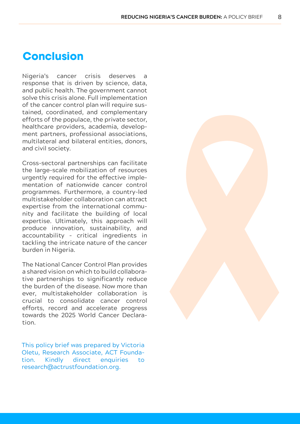### **Conclusion**

Nigeria's cancer crisis deserves a response that is driven by science, data, and public health. The government cannot solve this crisis alone. Full implementation of the cancer control plan will require sustained, coordinated, and complementary efforts of the populace, the private sector, healthcare providers, academia, development partners, professional associations, multilateral and bilateral entities, donors, and civil society.

Cross-sectoral partnerships can facilitate the large-scale mobilization of resources urgently required for the effective implementation of nationwide cancer control programmes. Furthermore, a country-led multistakeholder collaboration can attract expertise from the international community and facilitate the building of local expertise. Ultimately, this approach will produce innovation, sustainability, and accountability – critical ingredients in tackling the intricate nature of the cancer burden in Nigeria.

The National Cancer Control Plan provides a shared vision on which to build collaborative partnerships to significantly reduce the burden of the disease. Now more than ever, multistakeholder collaboration is crucial to consolidate cancer control efforts, record and accelerate progress towards the 2025 World Cancer Declaration.

This policy brief was prepared by Victoria Oletu, Research Associate, ACT Foundation. Kindly direct enquiries to research@actrustfoundation.org.

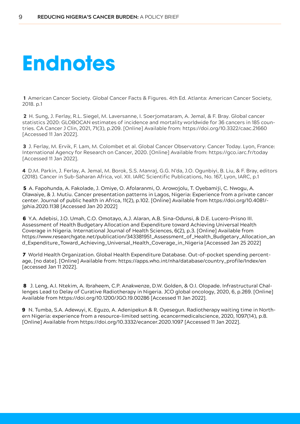## **Endnotes**

 1 American Cancer Society. Global Cancer Facts & Figures. 4th Ed. Atlanta: American Cancer Society, 2018. p.1

 2 H. Sung, J. Ferlay, R.L. Siegel, M. Laversanne, I. Soerjomataram, A. Jemal, & F. Bray. Global cancer statistics 2020: GLOBOCAN estimates of incidence and mortality worldwide for 36 cancers in 185 countries. CA Cancer J Clin, 2021, 71(3), p.209. [Online] Available from: https://doi.org/10.3322/caac.21660 [Accessed 11 Jan 2022].

3 J. Ferlay, M. Ervik, F. Lam, M. Colombet et al. Global Cancer Observatory: Cancer Today. Lyon, France: International Agency for Research on Cancer, 2020. [Online] Available from: https://gco.iarc.fr/today [Accessed 11 Jan 2022].

4 D.M. Parkin, J. Ferlay, A. Jemal, M. Borok, S.S. Manraj, G.G. N'da, J.O. Ogunbiyi, B. Liu, & F. Bray, editors (2018). Cancer in Sub-Saharan Africa, vol. XII. IARC Scientific Publications, No. 167, Lyon, IARC, p.1

 5 A. Fapohunda, A. Fakolade, J. Omiye, O. Afolaranmi, O. Arowojolu, T. Oyebamiji, C. Nwogu, A. Olawaiye, & J. Mutiu. Cancer presentation patterns in Lagos, Nigeria: Experience from a private cancer center. Journal of public health in Africa, 11(2), p.102. [Online] Available from https://doi.org/10.4081/ jphia.2020.1138 [Accessed Jan 20 2022]

6 Y.A. Adebisi, J.O. Umah, C.O. Omotayo, A.J. Alaran, A.B. Sina-Odunsi, & D.E. Lucero-Prisno III. Assessment of Health Budgetary Allocation and Expenditure toward Achieving Universal Health Coverage in Nigeria. International Journal of Health Sciences, 6(2), p.3. [Online] Available from https://www.researchgate.net/publication/343381951\_Assessment\_of\_Health\_Budgetary\_Allocation\_an d\_Expenditure\_Toward\_Achieving\_Universal\_Health\_Coverage\_in\_Nigeria [Accessed Jan 25 2022]

7 World Health Organization. Global Health Expenditure Database. Out-of-pocket spending percentage, [no date]. [Online] Available from: https://apps.who.int/nha/database/country\_profile/Index/en [accessed Jan 11 2022].

8 J. Leng, A.I. Ntekim, A. Ibraheem, C.P. Anakwenze, D.W. Golden, & O.I. Olopade. Infrastructural Challenges Lead to Delay of Curative Radiotherapy in Nigeria. JCO global oncology, 2020, 6, p.269. [Online] Available from https://doi.org/10.1200/JGO.19.00286 [Accessed 11 Jan 2022].

9 N. Tumba, S.A. Adewuyi, K. Eguzo, A. Adenipekun & R. Oyesegun. Radiotherapy waiting time in Northern Nigeria: experience from a resource-limited setting. ecancermedicalscience, 2020, 1097(14), p.8. [Online] Available from https://doi.org/10.3332/ecancer.2020.1097 [Accessed 11 Jan 2022].